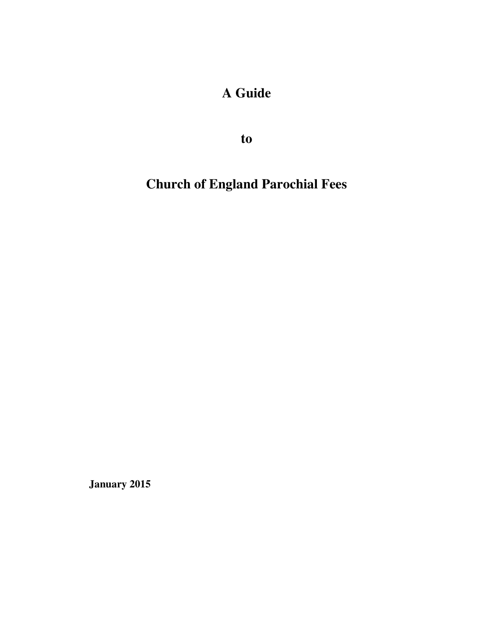# **A Guide**

**to** 

**Church of England Parochial Fees** 

**January 2015**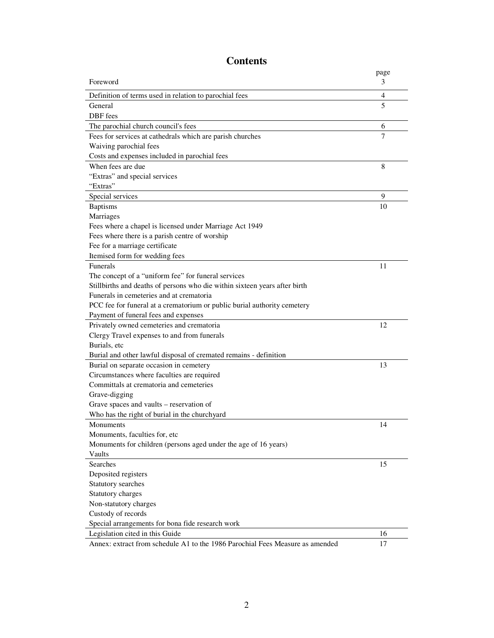|                                                                               | page |
|-------------------------------------------------------------------------------|------|
| Foreword                                                                      | 3    |
| Definition of terms used in relation to parochial fees                        | 4    |
| General                                                                       | 5    |
| DBF fees                                                                      |      |
| The parochial church council's fees                                           | 6    |
| Fees for services at cathedrals which are parish churches                     | 7    |
| Waiving parochial fees                                                        |      |
| Costs and expenses included in parochial fees                                 |      |
| When fees are due                                                             | 8    |
| "Extras" and special services                                                 |      |
| "Extras"                                                                      |      |
| Special services                                                              | 9    |
| <b>Baptisms</b>                                                               | 10   |
| Marriages                                                                     |      |
| Fees where a chapel is licensed under Marriage Act 1949                       |      |
| Fees where there is a parish centre of worship                                |      |
| Fee for a marriage certificate                                                |      |
| Itemised form for wedding fees                                                |      |
| <b>Funerals</b>                                                               | 11   |
| The concept of a "uniform fee" for funeral services                           |      |
| Stillbirths and deaths of persons who die within sixteen years after birth    |      |
| Funerals in cemeteries and at crematoria                                      |      |
| PCC fee for funeral at a crematorium or public burial authority cemetery      |      |
| Payment of funeral fees and expenses                                          |      |
| Privately owned cemeteries and crematoria                                     | 12   |
| Clergy Travel expenses to and from funerals                                   |      |
| Burials, etc                                                                  |      |
| Burial and other lawful disposal of cremated remains - definition             |      |
| Burial on separate occasion in cemetery                                       | 13   |
| Circumstances where faculties are required                                    |      |
| Committals at crematoria and cemeteries                                       |      |
| Grave-digging                                                                 |      |
| Grave spaces and vaults – reservation of                                      |      |
| Who has the right of burial in the churchyard                                 |      |
| Monuments                                                                     | 14   |
| Monuments, faculties for, etc                                                 |      |
| Monuments for children (persons aged under the age of 16 years)               |      |
| Vaults                                                                        |      |
| Searches                                                                      | 15   |
| Deposited registers                                                           |      |
| Statutory searches                                                            |      |
| Statutory charges                                                             |      |
| Non-statutory charges                                                         |      |
| Custody of records                                                            |      |
| Special arrangements for bona fide research work                              |      |
| Legislation cited in this Guide                                               | 16   |
| Annex: extract from schedule A1 to the 1986 Parochial Fees Measure as amended | 17   |

## **Contents**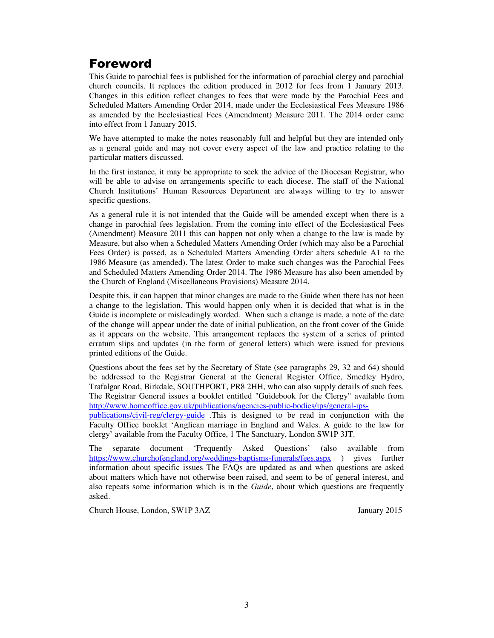## Foreword

This Guide to parochial fees is published for the information of parochial clergy and parochial church councils. It replaces the edition produced in 2012 for fees from 1 January 2013. Changes in this edition reflect changes to fees that were made by the Parochial Fees and Scheduled Matters Amending Order 2014, made under the Ecclesiastical Fees Measure 1986 as amended by the Ecclesiastical Fees (Amendment) Measure 2011. The 2014 order came into effect from 1 January 2015.

We have attempted to make the notes reasonably full and helpful but they are intended only as a general guide and may not cover every aspect of the law and practice relating to the particular matters discussed.

In the first instance, it may be appropriate to seek the advice of the Diocesan Registrar, who will be able to advise on arrangements specific to each diocese. The staff of the National Church Institutions' Human Resources Department are always willing to try to answer specific questions.

As a general rule it is not intended that the Guide will be amended except when there is a change in parochial fees legislation. From the coming into effect of the Ecclesiastical Fees (Amendment) Measure 2011 this can happen not only when a change to the law is made by Measure, but also when a Scheduled Matters Amending Order (which may also be a Parochial Fees Order) is passed, as a Scheduled Matters Amending Order alters schedule A1 to the 1986 Measure (as amended). The latest Order to make such changes was the Parochial Fees and Scheduled Matters Amending Order 2014. The 1986 Measure has also been amended by the Church of England (Miscellaneous Provisions) Measure 2014.

Despite this, it can happen that minor changes are made to the Guide when there has not been a change to the legislation. This would happen only when it is decided that what is in the Guide is incomplete or misleadingly worded. When such a change is made, a note of the date of the change will appear under the date of initial publication, on the front cover of the Guide as it appears on the website. This arrangement replaces the system of a series of printed erratum slips and updates (in the form of general letters) which were issued for previous printed editions of the Guide.

Questions about the fees set by the Secretary of State (see paragraphs 29, 32 and 64) should be addressed to the Registrar General at the General Register Office, Smedley Hydro, Trafalgar Road, Birkdale, SOUTHPORT, PR8 2HH, who can also supply details of such fees. The Registrar General issues a booklet entitled "Guidebook for the Clergy" available from http://www.homeoffice.gov.uk/publications/agencies-public-bodies/ips/general-ips-

publications/civil-reg/clergy-guide .This is designed to be read in conjunction with the Faculty Office booklet 'Anglican marriage in England and Wales. A guide to the law for clergy' available from the Faculty Office, 1 The Sanctuary, London SW1P 3JT.

The separate document 'Frequently Asked Questions' (also available from https://www.churchofengland.org/weddings-baptisms-funerals/fees.aspx ) gives further information about specific issues The FAQs are updated as and when questions are asked about matters which have not otherwise been raised, and seem to be of general interest, and also repeats some information which is in the *Guide*, about which questions are frequently asked.

Church House, London, SW1P 3AZ January 2015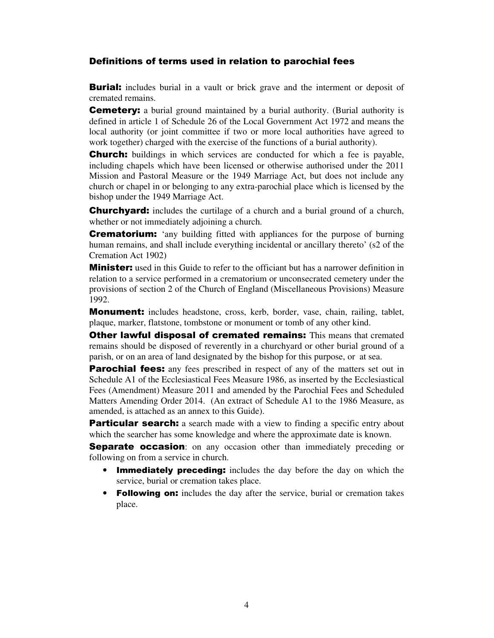#### Definitions of terms used in relation to parochial fees

**Burial:** includes burial in a vault or brick grave and the interment or deposit of cremated remains.

**Cemetery:** a burial ground maintained by a burial authority. (Burial authority is defined in article 1 of Schedule 26 of the Local Government Act 1972 and means the local authority (or joint committee if two or more local authorities have agreed to work together) charged with the exercise of the functions of a burial authority).

**Church:** buildings in which services are conducted for which a fee is payable, including chapels which have been licensed or otherwise authorised under the 2011 Mission and Pastoral Measure or the 1949 Marriage Act, but does not include any church or chapel in or belonging to any extra-parochial place which is licensed by the bishop under the 1949 Marriage Act.

**Churchyard:** includes the curtilage of a church and a burial ground of a church, whether or not immediately adjoining a church.

**Crematorium:** 'any building fitted with appliances for the purpose of burning human remains, and shall include everything incidental or ancillary thereto' (s2 of the Cremation Act 1902)

**Minister:** used in this Guide to refer to the officiant but has a narrower definition in relation to a service performed in a crematorium or unconsecrated cemetery under the provisions of section 2 of the Church of England (Miscellaneous Provisions) Measure 1992.

**Monument:** includes headstone, cross, kerb, border, vase, chain, railing, tablet, plaque, marker, flatstone, tombstone or monument or tomb of any other kind.

**Other lawful disposal of cremated remains:** This means that cremated remains should be disposed of reverently in a churchyard or other burial ground of a parish, or on an area of land designated by the bishop for this purpose, or at sea.

**Parochial fees:** any fees prescribed in respect of any of the matters set out in Schedule A1 of the Ecclesiastical Fees Measure 1986, as inserted by the Ecclesiastical Fees (Amendment) Measure 2011 and amended by the Parochial Fees and Scheduled Matters Amending Order 2014. (An extract of Schedule A1 to the 1986 Measure, as amended, is attached as an annex to this Guide).

**Particular search:** a search made with a view to finding a specific entry about which the searcher has some knowledge and where the approximate date is known.

**Separate occasion:** on any occasion other than immediately preceding or following on from a service in church.

- **Immediately preceding:** includes the day before the day on which the service, burial or cremation takes place.
- Following on: includes the day after the service, burial or cremation takes place.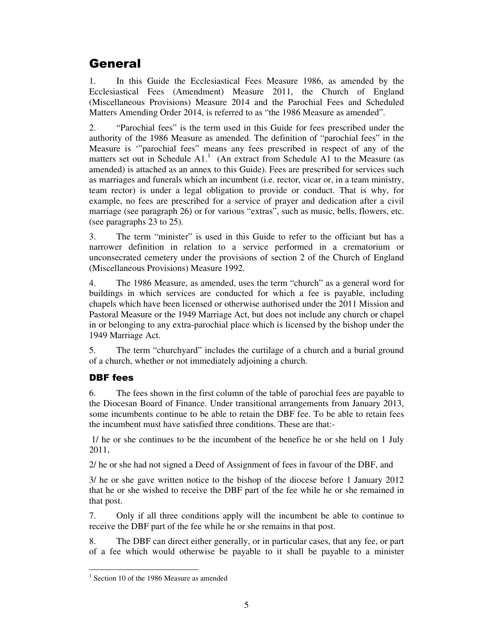## **General**

1. In this Guide the Ecclesiastical Fees Measure 1986, as amended by the Ecclesiastical Fees (Amendment) Measure 2011, the Church of England (Miscellaneous Provisions) Measure 2014 and the Parochial Fees and Scheduled Matters Amending Order 2014, is referred to as "the 1986 Measure as amended".

2. "Parochial fees" is the term used in this Guide for fees prescribed under the authority of the 1986 Measure as amended. The definition of "parochial fees" in the Measure is '"parochial fees" means any fees prescribed in respect of any of the matters set out in Schedule  $A1$ .<sup>1</sup> (An extract from Schedule A1 to the Measure (as amended) is attached as an annex to this Guide). Fees are prescribed for services such as marriages and funerals which an incumbent (i.e. rector, vicar or, in a team ministry, team rector) is under a legal obligation to provide or conduct. That is why, for example, no fees are prescribed for a service of prayer and dedication after a civil marriage (see paragraph 26) or for various "extras", such as music, bells, flowers, etc. (see paragraphs 23 to 25).

3. The term "minister" is used in this Guide to refer to the officiant but has a narrower definition in relation to a service performed in a crematorium or unconsecrated cemetery under the provisions of section 2 of the Church of England (Miscellaneous Provisions) Measure 1992.

4. The 1986 Measure, as amended, uses the term "church" as a general word for buildings in which services are conducted for which a fee is payable, including chapels which have been licensed or otherwise authorised under the 2011 Mission and Pastoral Measure or the 1949 Marriage Act, but does not include any church or chapel in or belonging to any extra-parochial place which is licensed by the bishop under the 1949 Marriage Act.

5. The term "churchyard" includes the curtilage of a church and a burial ground of a church, whether or not immediately adjoining a church.

## DBF fees

-

6. The fees shown in the first column of the table of parochial fees are payable to the Diocesan Board of Finance. Under transitional arrangements from January 2013, some incumbents continue to be able to retain the DBF fee. To be able to retain fees the incumbent must have satisfied three conditions. These are that:-

 1/ he or she continues to be the incumbent of the benefice he or she held on 1 July 2011,

2/ he or she had not signed a Deed of Assignment of fees in favour of the DBF, and

3/ he or she gave written notice to the bishop of the diocese before 1 January 2012 that he or she wished to receive the DBF part of the fee while he or she remained in that post.

7. Only if all three conditions apply will the incumbent be able to continue to receive the DBF part of the fee while he or she remains in that post.

8. The DBF can direct either generally, or in particular cases, that any fee, or part of a fee which would otherwise be payable to it shall be payable to a minister

<sup>&</sup>lt;sup>1</sup> Section 10 of the 1986 Measure as amended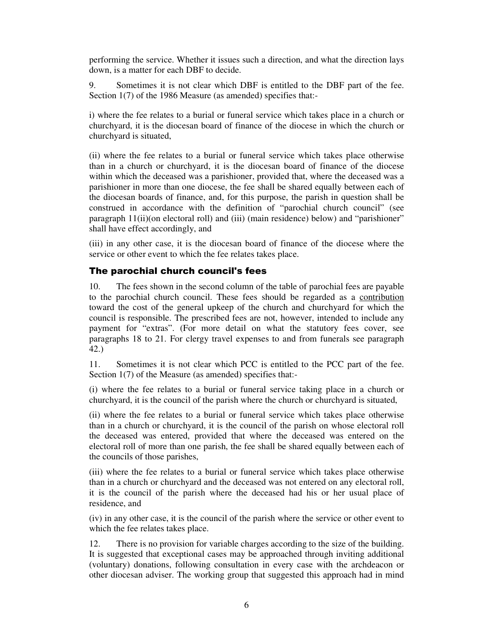performing the service. Whether it issues such a direction, and what the direction lays down, is a matter for each DBF to decide.

9. Sometimes it is not clear which DBF is entitled to the DBF part of the fee. Section 1(7) of the 1986 Measure (as amended) specifies that:-

i) where the fee relates to a burial or funeral service which takes place in a church or churchyard, it is the diocesan board of finance of the diocese in which the church or churchyard is situated,

(ii) where the fee relates to a burial or funeral service which takes place otherwise than in a church or churchyard, it is the diocesan board of finance of the diocese within which the deceased was a parishioner, provided that, where the deceased was a parishioner in more than one diocese, the fee shall be shared equally between each of the diocesan boards of finance, and, for this purpose, the parish in question shall be construed in accordance with the definition of "parochial church council" (see paragraph 11(ii)(on electoral roll) and (iii) (main residence) below) and "parishioner" shall have effect accordingly, and

(iii) in any other case, it is the diocesan board of finance of the diocese where the service or other event to which the fee relates takes place.

#### The parochial church council's fees

10. The fees shown in the second column of the table of parochial fees are payable to the parochial church council. These fees should be regarded as a contribution toward the cost of the general upkeep of the church and churchyard for which the council is responsible. The prescribed fees are not, however, intended to include any payment for "extras". (For more detail on what the statutory fees cover, see paragraphs 18 to 21. For clergy travel expenses to and from funerals see paragraph 42.)

11. Sometimes it is not clear which PCC is entitled to the PCC part of the fee. Section 1(7) of the Measure (as amended) specifies that:-

(i) where the fee relates to a burial or funeral service taking place in a church or churchyard, it is the council of the parish where the church or churchyard is situated,

(ii) where the fee relates to a burial or funeral service which takes place otherwise than in a church or churchyard, it is the council of the parish on whose electoral roll the deceased was entered, provided that where the deceased was entered on the electoral roll of more than one parish, the fee shall be shared equally between each of the councils of those parishes,

(iii) where the fee relates to a burial or funeral service which takes place otherwise than in a church or churchyard and the deceased was not entered on any electoral roll, it is the council of the parish where the deceased had his or her usual place of residence, and

(iv) in any other case, it is the council of the parish where the service or other event to which the fee relates takes place.

12. There is no provision for variable charges according to the size of the building. It is suggested that exceptional cases may be approached through inviting additional (voluntary) donations, following consultation in every case with the archdeacon or other diocesan adviser. The working group that suggested this approach had in mind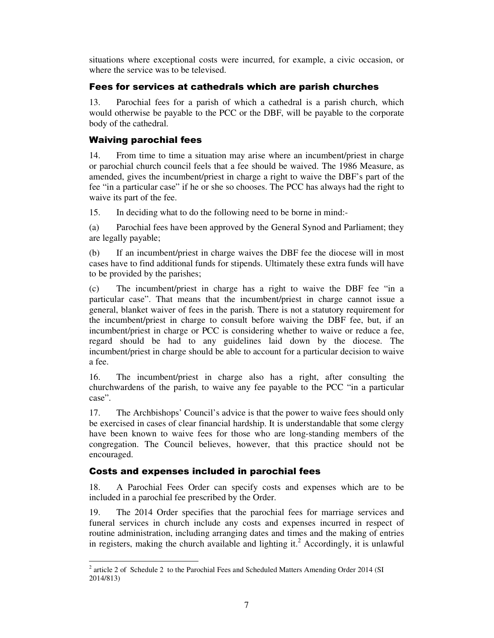situations where exceptional costs were incurred, for example, a civic occasion, or where the service was to be televised.

### Fees for services at cathedrals which are parish churches

13. Parochial fees for a parish of which a cathedral is a parish church, which would otherwise be payable to the PCC or the DBF, will be payable to the corporate body of the cathedral.

### Waiving parochial fees

14. From time to time a situation may arise where an incumbent/priest in charge or parochial church council feels that a fee should be waived. The 1986 Measure, as amended, gives the incumbent/priest in charge a right to waive the DBF's part of the fee "in a particular case" if he or she so chooses. The PCC has always had the right to waive its part of the fee.

15. In deciding what to do the following need to be borne in mind:-

(a) Parochial fees have been approved by the General Synod and Parliament; they are legally payable;

(b) If an incumbent/priest in charge waives the DBF fee the diocese will in most cases have to find additional funds for stipends. Ultimately these extra funds will have to be provided by the parishes;

(c) The incumbent/priest in charge has a right to waive the DBF fee "in a particular case". That means that the incumbent/priest in charge cannot issue a general, blanket waiver of fees in the parish. There is not a statutory requirement for the incumbent/priest in charge to consult before waiving the DBF fee, but, if an incumbent/priest in charge or PCC is considering whether to waive or reduce a fee, regard should be had to any guidelines laid down by the diocese. The incumbent/priest in charge should be able to account for a particular decision to waive a fee.

16. The incumbent/priest in charge also has a right, after consulting the churchwardens of the parish, to waive any fee payable to the PCC "in a particular case".

17. The Archbishops' Council's advice is that the power to waive fees should only be exercised in cases of clear financial hardship. It is understandable that some clergy have been known to waive fees for those who are long-standing members of the congregation. The Council believes, however, that this practice should not be encouraged.

### Costs and expenses included in parochial fees

18. A Parochial Fees Order can specify costs and expenses which are to be included in a parochial fee prescribed by the Order.

19. The 2014 Order specifies that the parochial fees for marriage services and funeral services in church include any costs and expenses incurred in respect of routine administration, including arranging dates and times and the making of entries in registers, making the church available and lighting it.<sup>2</sup> Accordingly, it is unlawful

<sup>&</sup>lt;sup>2</sup> article 2 of Schedule 2 to the Parochial Fees and Scheduled Matters Amending Order 2014 (SI 2014/813)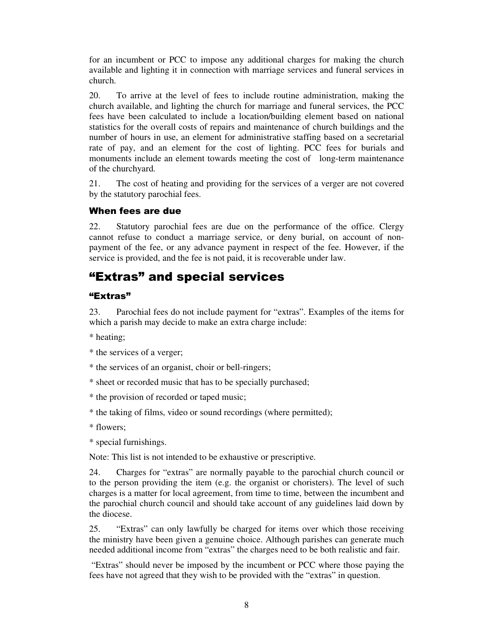for an incumbent or PCC to impose any additional charges for making the church available and lighting it in connection with marriage services and funeral services in church.

20. To arrive at the level of fees to include routine administration, making the church available, and lighting the church for marriage and funeral services, the PCC fees have been calculated to include a location/building element based on national statistics for the overall costs of repairs and maintenance of church buildings and the number of hours in use, an element for administrative staffing based on a secretarial rate of pay, and an element for the cost of lighting. PCC fees for burials and monuments include an element towards meeting the cost of long-term maintenance of the churchyard.

21. The cost of heating and providing for the services of a verger are not covered by the statutory parochial fees.

#### When fees are due

22. Statutory parochial fees are due on the performance of the office. Clergy cannot refuse to conduct a marriage service, or deny burial, on account of nonpayment of the fee, or any advance payment in respect of the fee. However, if the service is provided, and the fee is not paid, it is recoverable under law.

## "Extras" and special services

#### "Extras"

23. Parochial fees do not include payment for "extras". Examples of the items for which a parish may decide to make an extra charge include:

\* heating;

- \* the services of a verger;
- \* the services of an organist, choir or bell-ringers;
- \* sheet or recorded music that has to be specially purchased;
- \* the provision of recorded or taped music;
- \* the taking of films, video or sound recordings (where permitted);
- \* flowers;
- \* special furnishings.

Note: This list is not intended to be exhaustive or prescriptive.

24. Charges for "extras" are normally payable to the parochial church council or to the person providing the item (e.g. the organist or choristers). The level of such charges is a matter for local agreement, from time to time, between the incumbent and the parochial church council and should take account of any guidelines laid down by the diocese.

25. "Extras" can only lawfully be charged for items over which those receiving the ministry have been given a genuine choice. Although parishes can generate much needed additional income from "extras" the charges need to be both realistic and fair.

 "Extras" should never be imposed by the incumbent or PCC where those paying the fees have not agreed that they wish to be provided with the "extras" in question.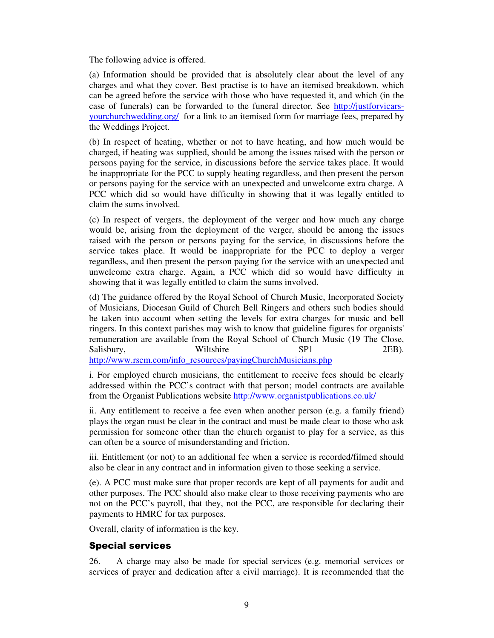The following advice is offered.

(a) Information should be provided that is absolutely clear about the level of any charges and what they cover. Best practise is to have an itemised breakdown, which can be agreed before the service with those who have requested it, and which (in the case of funerals) can be forwarded to the funeral director. See http://justforvicarsyourchurchwedding.org/ for a link to an itemised form for marriage fees, prepared by the Weddings Project.

(b) In respect of heating, whether or not to have heating, and how much would be charged, if heating was supplied, should be among the issues raised with the person or persons paying for the service, in discussions before the service takes place. It would be inappropriate for the PCC to supply heating regardless, and then present the person or persons paying for the service with an unexpected and unwelcome extra charge. A PCC which did so would have difficulty in showing that it was legally entitled to claim the sums involved.

(c) In respect of vergers, the deployment of the verger and how much any charge would be, arising from the deployment of the verger, should be among the issues raised with the person or persons paying for the service, in discussions before the service takes place. It would be inappropriate for the PCC to deploy a verger regardless, and then present the person paying for the service with an unexpected and unwelcome extra charge. Again, a PCC which did so would have difficulty in showing that it was legally entitled to claim the sums involved.

(d) The guidance offered by the Royal School of Church Music, Incorporated Society of Musicians, Diocesan Guild of Church Bell Ringers and others such bodies should be taken into account when setting the levels for extra charges for music and bell ringers. In this context parishes may wish to know that guideline figures for organists' remuneration are available from the Royal School of Church Music (19 The Close, Salisbury, Wiltshire SP1 2EB). http://www.rscm.com/info\_resources/payingChurchMusicians.php

i. For employed church musicians, the entitlement to receive fees should be clearly addressed within the PCC's contract with that person; model contracts are available from the Organist Publications website http://www.organistpublications.co.uk/

ii. Any entitlement to receive a fee even when another person (e.g. a family friend) plays the organ must be clear in the contract and must be made clear to those who ask permission for someone other than the church organist to play for a service, as this can often be a source of misunderstanding and friction.

iii. Entitlement (or not) to an additional fee when a service is recorded/filmed should also be clear in any contract and in information given to those seeking a service.

(e). A PCC must make sure that proper records are kept of all payments for audit and other purposes. The PCC should also make clear to those receiving payments who are not on the PCC's payroll, that they, not the PCC, are responsible for declaring their payments to HMRC for tax purposes.

Overall, clarity of information is the key.

#### Special services

26. A charge may also be made for special services (e.g. memorial services or services of prayer and dedication after a civil marriage). It is recommended that the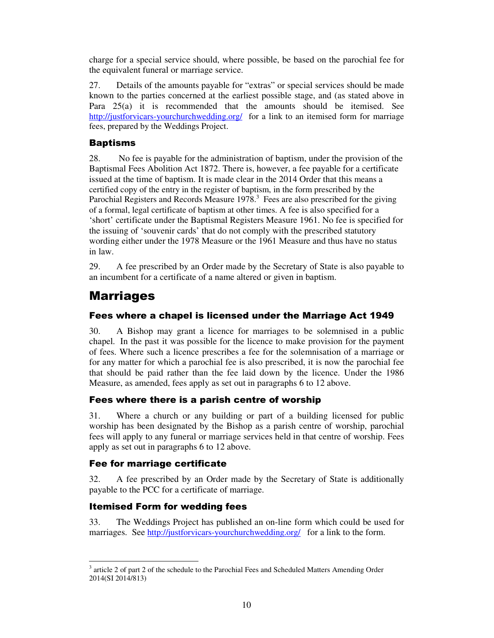charge for a special service should, where possible, be based on the parochial fee for the equivalent funeral or marriage service.

27. Details of the amounts payable for "extras" or special services should be made known to the parties concerned at the earliest possible stage, and (as stated above in Para 25(a) it is recommended that the amounts should be itemised. See http://justforvicars-yourchurchwedding.org/ for a link to an itemised form for marriage fees, prepared by the Weddings Project.

### Baptisms

28. No fee is payable for the administration of baptism, under the provision of the Baptismal Fees Abolition Act 1872. There is, however, a fee payable for a certificate issued at the time of baptism. It is made clear in the 2014 Order that this means a certified copy of the entry in the register of baptism, in the form prescribed by the Parochial Registers and Records Measure  $1978$ .<sup>3</sup> Fees are also prescribed for the giving of a formal, legal certificate of baptism at other times. A fee is also specified for a 'short' certificate under the Baptismal Registers Measure 1961. No fee is specified for the issuing of 'souvenir cards' that do not comply with the prescribed statutory wording either under the 1978 Measure or the 1961 Measure and thus have no status in law.

29. A fee prescribed by an Order made by the Secretary of State is also payable to an incumbent for a certificate of a name altered or given in baptism.

## Marriages

## Fees where a chapel is licensed under the Marriage Act 1949

30. A Bishop may grant a licence for marriages to be solemnised in a public chapel. In the past it was possible for the licence to make provision for the payment of fees. Where such a licence prescribes a fee for the solemnisation of a marriage or for any matter for which a parochial fee is also prescribed, it is now the parochial fee that should be paid rather than the fee laid down by the licence. Under the 1986 Measure, as amended, fees apply as set out in paragraphs 6 to 12 above.

#### Fees where there is a parish centre of worship

31. Where a church or any building or part of a building licensed for public worship has been designated by the Bishop as a parish centre of worship, parochial fees will apply to any funeral or marriage services held in that centre of worship. Fees apply as set out in paragraphs 6 to 12 above.

#### Fee for marriage certificate

32. A fee prescribed by an Order made by the Secretary of State is additionally payable to the PCC for a certificate of marriage.

### Itemised Form for wedding fees

33. The Weddings Project has published an on-line form which could be used for marriages. See http://justforvicars-yourchurchwedding.org/ for a link to the form.

<sup>-</sup><sup>3</sup> article 2 of part 2 of the schedule to the Parochial Fees and Scheduled Matters Amending Order 2014(SI 2014/813)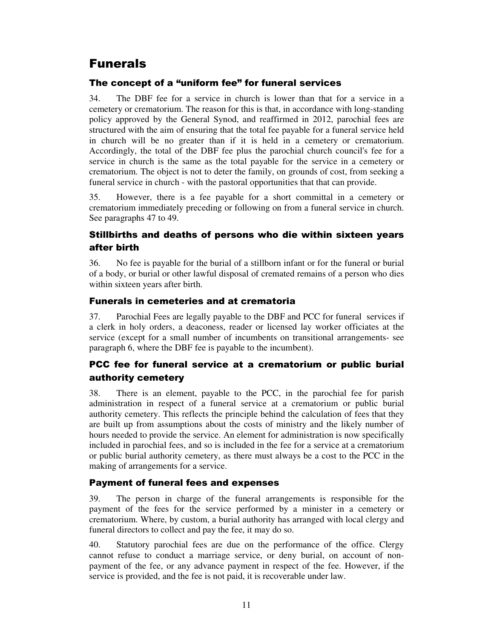## Funerals

## The concept of a "uniform fee" for funeral services

34. The DBF fee for a service in church is lower than that for a service in a cemetery or crematorium. The reason for this is that, in accordance with long-standing policy approved by the General Synod, and reaffirmed in 2012, parochial fees are structured with the aim of ensuring that the total fee payable for a funeral service held in church will be no greater than if it is held in a cemetery or crematorium. Accordingly, the total of the DBF fee plus the parochial church council's fee for a service in church is the same as the total payable for the service in a cemetery or crematorium. The object is not to deter the family, on grounds of cost, from seeking a funeral service in church - with the pastoral opportunities that that can provide.

35. However, there is a fee payable for a short committal in a cemetery or crematorium immediately preceding or following on from a funeral service in church. See paragraphs 47 to 49.

## Stillbirths and deaths of persons who die within sixteen years after birth

36. No fee is payable for the burial of a stillborn infant or for the funeral or burial of a body, or burial or other lawful disposal of cremated remains of a person who dies within sixteen years after birth.

### Funerals in cemeteries and at crematoria

37. Parochial Fees are legally payable to the DBF and PCC for funeral services if a clerk in holy orders, a deaconess, reader or licensed lay worker officiates at the service (except for a small number of incumbents on transitional arrangements- see paragraph 6, where the DBF fee is payable to the incumbent).

## PCC fee for funeral service at a crematorium or public burial authority cemetery

38. There is an element, payable to the PCC, in the parochial fee for parish administration in respect of a funeral service at a crematorium or public burial authority cemetery. This reflects the principle behind the calculation of fees that they are built up from assumptions about the costs of ministry and the likely number of hours needed to provide the service. An element for administration is now specifically included in parochial fees, and so is included in the fee for a service at a crematorium or public burial authority cemetery, as there must always be a cost to the PCC in the making of arrangements for a service.

### Payment of funeral fees and expenses

39. The person in charge of the funeral arrangements is responsible for the payment of the fees for the service performed by a minister in a cemetery or crematorium. Where, by custom, a burial authority has arranged with local clergy and funeral directors to collect and pay the fee, it may do so.

40. Statutory parochial fees are due on the performance of the office. Clergy cannot refuse to conduct a marriage service, or deny burial, on account of nonpayment of the fee, or any advance payment in respect of the fee. However, if the service is provided, and the fee is not paid, it is recoverable under law.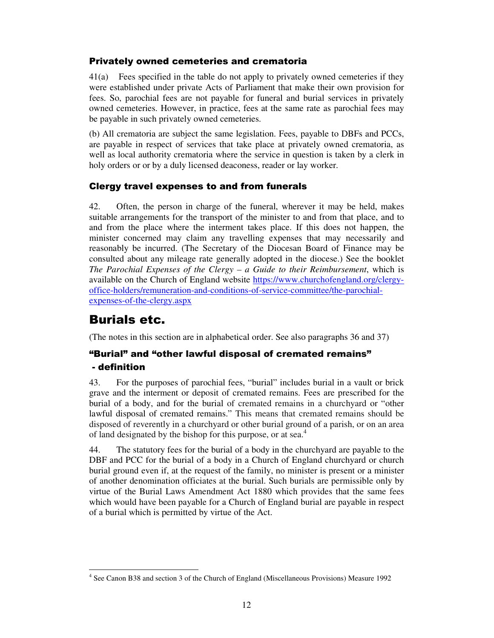#### Privately owned cemeteries and crematoria

41(a) Fees specified in the table do not apply to privately owned cemeteries if they were established under private Acts of Parliament that make their own provision for fees. So, parochial fees are not payable for funeral and burial services in privately owned cemeteries. However, in practice, fees at the same rate as parochial fees may be payable in such privately owned cemeteries.

(b) All crematoria are subject the same legislation. Fees, payable to DBFs and PCCs, are payable in respect of services that take place at privately owned crematoria, as well as local authority crematoria where the service in question is taken by a clerk in holy orders or or by a duly licensed deaconess, reader or lay worker.

#### Clergy travel expenses to and from funerals

42. Often, the person in charge of the funeral, wherever it may be held, makes suitable arrangements for the transport of the minister to and from that place, and to and from the place where the interment takes place. If this does not happen, the minister concerned may claim any travelling expenses that may necessarily and reasonably be incurred. (The Secretary of the Diocesan Board of Finance may be consulted about any mileage rate generally adopted in the diocese.) See the booklet *The Parochial Expenses of the Clergy – a Guide to their Reimbursement*, which is available on the Church of England website https://www.churchofengland.org/clergyoffice-holders/remuneration-and-conditions-of-service-committee/the-parochialexpenses-of-the-clergy.aspx

## Burials etc.

(The notes in this section are in alphabetical order. See also paragraphs 36 and 37)

## "Burial" and "other lawful disposal of cremated remains" - definition

43. For the purposes of parochial fees, "burial" includes burial in a vault or brick grave and the interment or deposit of cremated remains. Fees are prescribed for the burial of a body, and for the burial of cremated remains in a churchyard or "other lawful disposal of cremated remains." This means that cremated remains should be disposed of reverently in a churchyard or other burial ground of a parish, or on an area of land designated by the bishop for this purpose, or at sea.<sup>4</sup>

44. The statutory fees for the burial of a body in the churchyard are payable to the DBF and PCC for the burial of a body in a Church of England churchyard or church burial ground even if, at the request of the family, no minister is present or a minister of another denomination officiates at the burial. Such burials are permissible only by virtue of the Burial Laws Amendment Act 1880 which provides that the same fees which would have been payable for a Church of England burial are payable in respect of a burial which is permitted by virtue of the Act.

<sup>-</sup>4 See Canon B38 and section 3 of the Church of England (Miscellaneous Provisions) Measure 1992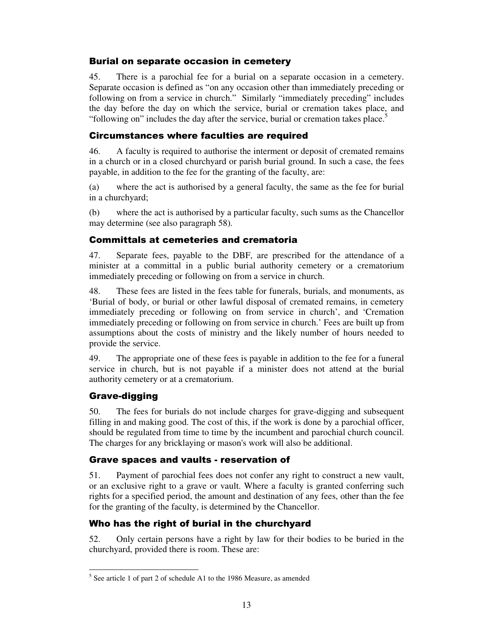#### Burial on separate occasion in cemetery

45. There is a parochial fee for a burial on a separate occasion in a cemetery. Separate occasion is defined as "on any occasion other than immediately preceding or following on from a service in church." Similarly "immediately preceding" includes the day before the day on which the service, burial or cremation takes place, and "following on" includes the day after the service, burial or cremation takes place."

#### Circumstances where faculties are required

46. A faculty is required to authorise the interment or deposit of cremated remains in a church or in a closed churchyard or parish burial ground. In such a case, the fees payable, in addition to the fee for the granting of the faculty, are:

(a) where the act is authorised by a general faculty, the same as the fee for burial in a churchyard;

(b) where the act is authorised by a particular faculty, such sums as the Chancellor may determine (see also paragraph 58).

#### Committals at cemeteries and crematoria

47. Separate fees, payable to the DBF, are prescribed for the attendance of a minister at a committal in a public burial authority cemetery or a crematorium immediately preceding or following on from a service in church.

48. These fees are listed in the fees table for funerals, burials, and monuments, as 'Burial of body, or burial or other lawful disposal of cremated remains, in cemetery immediately preceding or following on from service in church', and 'Cremation immediately preceding or following on from service in church.' Fees are built up from assumptions about the costs of ministry and the likely number of hours needed to provide the service.

49. The appropriate one of these fees is payable in addition to the fee for a funeral service in church, but is not payable if a minister does not attend at the burial authority cemetery or at a crematorium.

#### Grave-digging

-

50. The fees for burials do not include charges for grave-digging and subsequent filling in and making good. The cost of this, if the work is done by a parochial officer, should be regulated from time to time by the incumbent and parochial church council. The charges for any bricklaying or mason's work will also be additional.

#### Grave spaces and vaults - reservation of

51. Payment of parochial fees does not confer any right to construct a new vault, or an exclusive right to a grave or vault. Where a faculty is granted conferring such rights for a specified period, the amount and destination of any fees, other than the fee for the granting of the faculty, is determined by the Chancellor.

### Who has the right of burial in the churchyard

52. Only certain persons have a right by law for their bodies to be buried in the churchyard, provided there is room. These are:

<sup>&</sup>lt;sup>5</sup> See article 1 of part 2 of schedule A1 to the 1986 Measure, as amended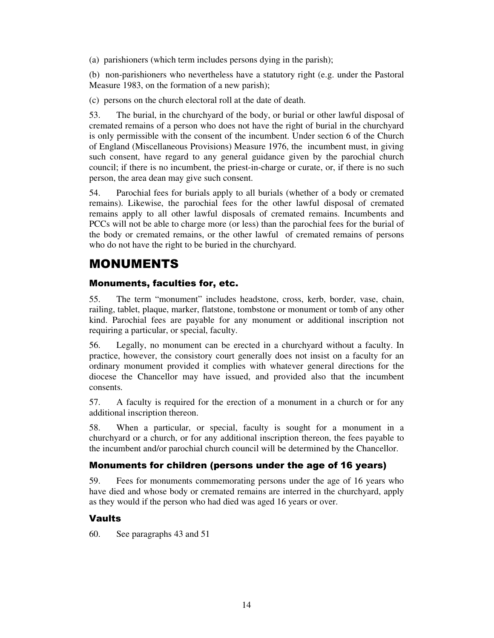(a) parishioners (which term includes persons dying in the parish);

(b) non-parishioners who nevertheless have a statutory right (e.g. under the Pastoral Measure 1983, on the formation of a new parish);

(c) persons on the church electoral roll at the date of death.

53. The burial, in the churchyard of the body, or burial or other lawful disposal of cremated remains of a person who does not have the right of burial in the churchyard is only permissible with the consent of the incumbent. Under section 6 of the Church of England (Miscellaneous Provisions) Measure 1976, the incumbent must, in giving such consent, have regard to any general guidance given by the parochial church council; if there is no incumbent, the priest-in-charge or curate, or, if there is no such person, the area dean may give such consent.

54. Parochial fees for burials apply to all burials (whether of a body or cremated remains). Likewise, the parochial fees for the other lawful disposal of cremated remains apply to all other lawful disposals of cremated remains. Incumbents and PCCs will not be able to charge more (or less) than the parochial fees for the burial of the body or cremated remains, or the other lawful of cremated remains of persons who do not have the right to be buried in the churchyard.

## MONUMENTS

#### Monuments, faculties for, etc.

55. The term "monument" includes headstone, cross, kerb, border, vase, chain, railing, tablet, plaque, marker, flatstone, tombstone or monument or tomb of any other kind. Parochial fees are payable for any monument or additional inscription not requiring a particular, or special, faculty.

56. Legally, no monument can be erected in a churchyard without a faculty. In practice, however, the consistory court generally does not insist on a faculty for an ordinary monument provided it complies with whatever general directions for the diocese the Chancellor may have issued, and provided also that the incumbent consents.

57. A faculty is required for the erection of a monument in a church or for any additional inscription thereon.

58. When a particular, or special, faculty is sought for a monument in a churchyard or a church, or for any additional inscription thereon, the fees payable to the incumbent and/or parochial church council will be determined by the Chancellor.

#### Monuments for children (persons under the age of 16 years)

59. Fees for monuments commemorating persons under the age of 16 years who have died and whose body or cremated remains are interred in the churchyard, apply as they would if the person who had died was aged 16 years or over.

#### Vaults

60. See paragraphs 43 and 51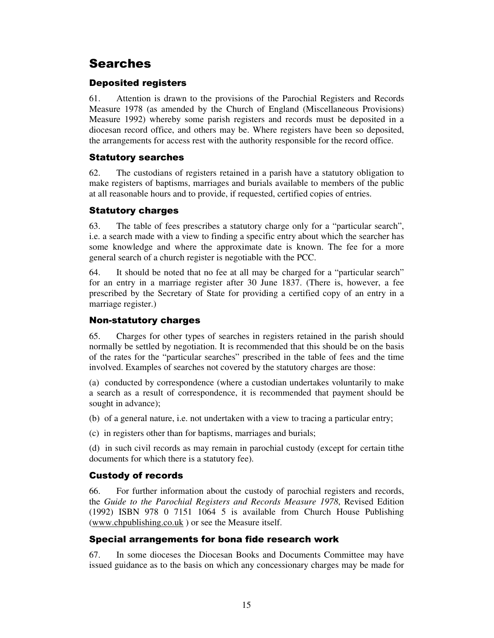## Searches

### Deposited registers

61. Attention is drawn to the provisions of the Parochial Registers and Records Measure 1978 (as amended by the Church of England (Miscellaneous Provisions) Measure 1992) whereby some parish registers and records must be deposited in a diocesan record office, and others may be. Where registers have been so deposited, the arrangements for access rest with the authority responsible for the record office.

#### Statutory searches

62. The custodians of registers retained in a parish have a statutory obligation to make registers of baptisms, marriages and burials available to members of the public at all reasonable hours and to provide, if requested, certified copies of entries.

#### Statutory charges

63. The table of fees prescribes a statutory charge only for a "particular search", i.e. a search made with a view to finding a specific entry about which the searcher has some knowledge and where the approximate date is known. The fee for a more general search of a church register is negotiable with the PCC.

64. It should be noted that no fee at all may be charged for a "particular search" for an entry in a marriage register after 30 June 1837. (There is, however, a fee prescribed by the Secretary of State for providing a certified copy of an entry in a marriage register.)

### Non-statutory charges

65. Charges for other types of searches in registers retained in the parish should normally be settled by negotiation. It is recommended that this should be on the basis of the rates for the "particular searches" prescribed in the table of fees and the time involved. Examples of searches not covered by the statutory charges are those:

(a) conducted by correspondence (where a custodian undertakes voluntarily to make a search as a result of correspondence, it is recommended that payment should be sought in advance);

(b) of a general nature, i.e. not undertaken with a view to tracing a particular entry;

(c) in registers other than for baptisms, marriages and burials;

(d) in such civil records as may remain in parochial custody (except for certain tithe documents for which there is a statutory fee).

#### Custody of records

66. For further information about the custody of parochial registers and records, the *Guide to the Parochial Registers and Records Measure 1978*, Revised Edition (1992) ISBN 978 0 7151 1064 5 is available from Church House Publishing (www.chpublishing.co.uk ) or see the Measure itself.

#### Special arrangements for bona fide research work

67. In some dioceses the Diocesan Books and Documents Committee may have issued guidance as to the basis on which any concessionary charges may be made for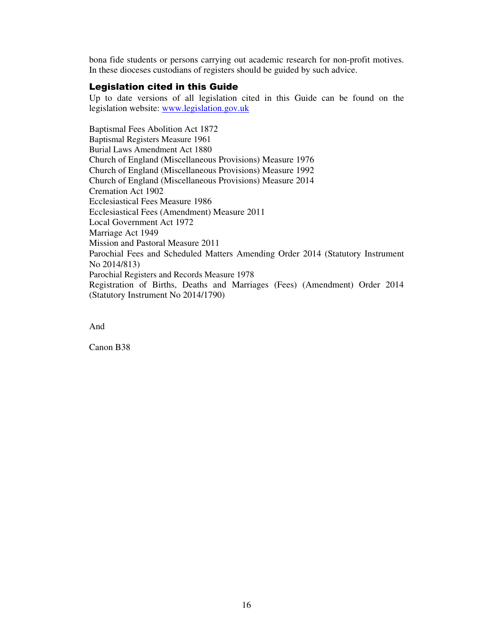bona fide students or persons carrying out academic research for non-profit motives. In these dioceses custodians of registers should be guided by such advice.

#### Legislation cited in this Guide

Up to date versions of all legislation cited in this Guide can be found on the legislation website: www.legislation.gov.uk

Baptismal Fees Abolition Act 1872 Baptismal Registers Measure 1961 Burial Laws Amendment Act 1880 Church of England (Miscellaneous Provisions) Measure 1976 Church of England (Miscellaneous Provisions) Measure 1992 Church of England (Miscellaneous Provisions) Measure 2014 Cremation Act 1902 Ecclesiastical Fees Measure 1986 Ecclesiastical Fees (Amendment) Measure 2011 Local Government Act 1972 Marriage Act 1949 Mission and Pastoral Measure 2011 Parochial Fees and Scheduled Matters Amending Order 2014 (Statutory Instrument No 2014/813) Parochial Registers and Records Measure 1978 Registration of Births, Deaths and Marriages (Fees) (Amendment) Order 2014 (Statutory Instrument No 2014/1790)

And

Canon B38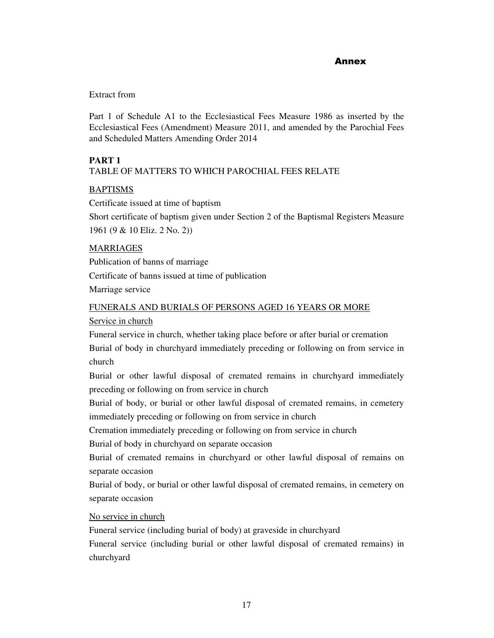#### **Annex Annex**

#### Extract from

Part 1 of Schedule A1 to the Ecclesiastical Fees Measure 1986 as inserted by the Ecclesiastical Fees (Amendment) Measure 2011, and amended by the Parochial Fees and Scheduled Matters Amending Order 2014

#### **PART 1**

#### TABLE OF MATTERS TO WHICH PAROCHIAL FEES RELATE

#### **BAPTISMS**

Certificate issued at time of baptism

Short certificate of baptism given under Section 2 of the Baptismal Registers Measure 1961 (9 & 10 Eliz. 2 No. 2))

#### MARRIAGES

Publication of banns of marriage Certificate of banns issued at time of publication Marriage service

#### FUNERALS AND BURIALS OF PERSONS AGED 16 YEARS OR MORE

#### Service in church

Funeral service in church, whether taking place before or after burial or cremation Burial of body in churchyard immediately preceding or following on from service in church

Burial or other lawful disposal of cremated remains in churchyard immediately preceding or following on from service in church

Burial of body, or burial or other lawful disposal of cremated remains, in cemetery immediately preceding or following on from service in church

Cremation immediately preceding or following on from service in church

Burial of body in churchyard on separate occasion

Burial of cremated remains in churchyard or other lawful disposal of remains on separate occasion

Burial of body, or burial or other lawful disposal of cremated remains, in cemetery on separate occasion

#### No service in church

Funeral service (including burial of body) at graveside in churchyard

Funeral service (including burial or other lawful disposal of cremated remains) in churchyard